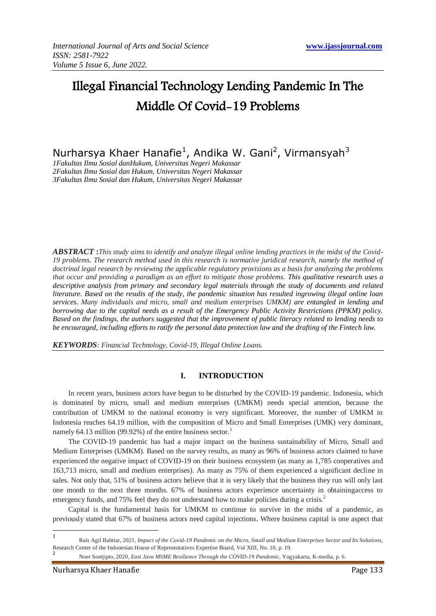# Illegal Financial Technology Lending Pandemic In The Middle Of Covid-19 Problems

Nurharsya Khaer Hanafie<sup>1</sup>, Andika W. Gani<sup>2</sup>, Virmansyah<sup>3</sup>

*1Fakultas Ilmu Sosial danHukum, Universitas Negeri Makassar 2Fakultas Ilmu Sosial dan Hukum, Universitas Negeri Makassar 3Fakultas Ilmu Sosial dan Hukum, Universitas Negeri Makassar*

*ABSTRACT* **:***This study aims to identify and analyze illegal online lending practices in the midst of the Covid-19 problems. The research method used in this research is normative juridical research, namely the method of doctrinal legal research by reviewing the applicable regulatory provisions as a basis for analyzing the problems that occur and providing a paradigm as an effort to mitigate those problems. This qualitative research uses a descriptive analysis from primary and secondary legal materials through the study of documents and related literature. Based on the results of the study, the pandemic situation has resulted ingrowing illegal online loan services. Many individuals and micro, small and medium enterprises UMKM) are entangled in lending and borrowing due to the capital needs as a result of the Emergency Public Activity Restrictions (PPKM) policy. Based on the findings, the authors suggested that the improvement of public literacy related to lending needs to be encouraged, including efforts to ratify the personal data protection law and the drafting of the Fintech law.*

*KEYWORDS: Financial Technology, Covid-19, Illegal Online Loans.*

# **I. INTRODUCTION**

In recent years, business actors have begun to be disturbed by the COVID-19 pandemic. Indonesia, which is dominated by micro, small and medium enterprises (UMKM) needs special attention, because the contribution of UMKM to the national economy is very significant. Moreover, the number of UMKM in Indonesia reaches 64.19 million, with the composition of Micro and Small Enterprises (UMK) very dominant, namely 64.13 million (99.92%) of the entire business sector.<sup>1</sup>

The COVID-19 pandemic has had a major impact on the business sustainability of Micro, Small and Medium Enterprises (UMKM). Based on the survey results, as many as 96% of business actors claimed to have experienced the negative impact of COVID-19 on their business ecosystem (as many as 1,785 cooperatives and 163,713 micro, small and medium enterprises). As many as 75% of them experienced a significant decline in sales. Not only that, 51% of business actors believe that it is very likely that the business they run will only last one month to the next three months. 67% of business actors experience uncertainty in obtainingaccess to emergency funds, and 75% feel they do not understand how to make policies during a crisis.<sup>2</sup>

Capital is the fundamental basis for UMKM to continue to survive in the midst of a pandemic, as previously stated that 67% of business actors need capital injections. Where business capital is one aspect that

-<br>1 Rais Agil Bahtiar, 2021*, Impact of the Covid-19 Pandemic on the Micro, Small and Medium Enterprises Sector and Its Solutions,* Research Center of the Indonesian House of Representatives Expertise Board, Vol XIII, No. 10, p. 19. 2

Noer Soetjipto, 2020, *East Java MSME Resilience Through the COVID-19 Pandemic,* Yogyakarta, K-media, p. 6.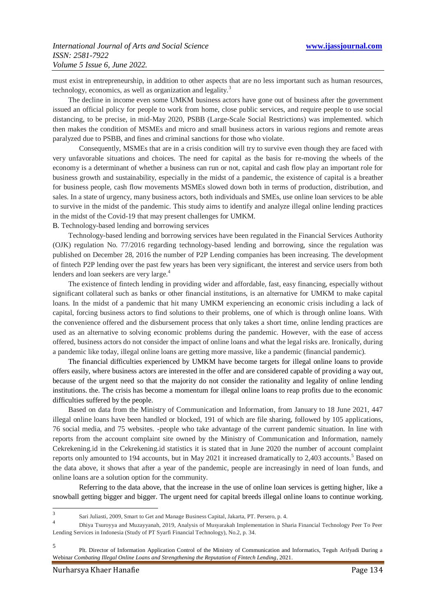must exist in entrepreneurship, in addition to other aspects that are no less important such as human resources, technology, economics, as well as organization and legality.<sup>3</sup>

The decline in income even some UMKM business actors have gone out of business after the government issued an official policy for people to work from home, close public services, and require people to use social distancing, to be precise, in mid-May 2020, PSBB (Large-Scale Social Restrictions) was implemented. which then makes the condition of MSMEs and micro and small business actors in various regions and remote areas paralyzed due to PSBB, and fines and criminal sanctions for those who violate.

Consequently, MSMEs that are in a crisis condition will try to survive even though they are faced with very unfavorable situations and choices. The need for capital as the basis for re-moving the wheels of the economy is a determinant of whether a business can run or not, capital and cash flow play an important role for business growth and sustainability, especially in the midst of a pandemic, the existence of capital is a breather for business people, cash flow movements MSMEs slowed down both in terms of production, distribution, and sales. In a state of urgency, many business actors, both individuals and SMEs, use online loan services to be able to survive in the midst of the pandemic. This study aims to identify and analyze illegal online lending practices in the midst of the Covid-19 that may present challenges for UMKM.

B. Technology-based lending and borrowing services

Technology-based lending and borrowing services have been regulated in the Financial Services Authority (OJK) regulation No. 77/2016 regarding technology-based lending and borrowing, since the regulation was published on December 28, 2016 the number of P2P Lending companies has been increasing. The development of fintech P2P lending over the past few years has been very significant, the interest and service users from both lenders and loan seekers are very large.<sup>4</sup>

The existence of fintech lending in providing wider and affordable, fast, easy financing, especially without significant collateral such as banks or other financial institutions, is an alternative for UMKM to make capital loans. In the midst of a pandemic that hit many UMKM experiencing an economic crisis including a lack of capital, forcing business actors to find solutions to their problems, one of which is through online loans. With the convenience offered and the disbursement process that only takes a short time, online lending practices are used as an alternative to solving economic problems during the pandemic. However, with the ease of access offered, business actors do not consider the impact of online loans and what the legal risks are. Ironically, during a pandemic like today, illegal online loans are getting more massive, like a pandemic (financial pandemic).

The financial difficulties experienced by UMKM have become targets for illegal online loans to provide offers easily, where business actors are interested in the offer and are considered capable of providing a way out, because of the urgent need so that the majority do not consider the rationality and legality of online lending institutions. the. The crisis has become a momentum for illegal online loans to reap profits due to the economic difficulties suffered by the people.

Based on data from the Ministry of Communication and Information, from January to 18 June 2021, 447 illegal online loans have been handled or blocked, 191 of which are file sharing, followed by 105 applications, 76 social media, and 75 websites. -people who take advantage of the current pandemic situation. In line with reports from the account complaint site owned by the Ministry of Communication and Information, namely Cekrekening.id in the Cekrekening.id statistics it is stated that in June 2020 the number of account complaint reports only amounted to 194 accounts, but in May 2021 it increased dramatically to 2,403 accounts.<sup>5</sup> Based on the data above, it shows that after a year of the pandemic, people are increasingly in need of loan funds, and online loans are a solution option for the community.

Referring to the data above, that the increase in the use of online loan services is getting higher, like a snowball getting bigger and bigger. The urgent need for capital breeds illegal online loans to continue working.

 $\frac{1}{3}$ Sari Juliasti, 2009, Smart to Get and Manage Business Capital, Jakarta, PT. Persero, p. 4. 4

Dhiya Tsuroyya and Muzayyanah, 2019, Analysis of Musyarakah Implementation in Sharia Financial Technology Peer To Peer Lending Services in Indonesia (Study of PT Syarfi Financial Technology), No.2, p. 34.

<sup>5</sup> Plt. Director of Information Application Control of the Ministry of Communication and Informatics, Teguh Arifyadi During a Webinar *Combating Illegal Online Loans and Strengthening the Reputation of Fintech Lending*, 2021.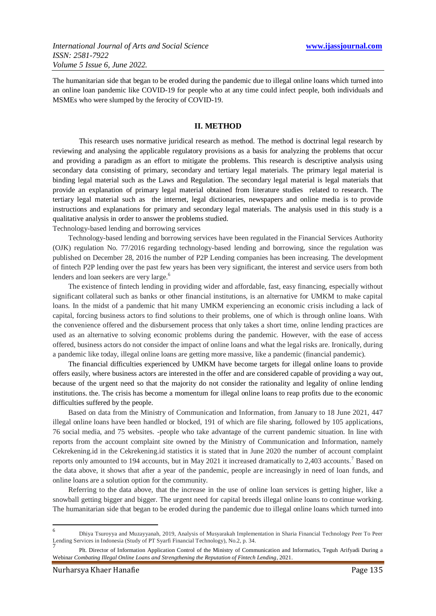The humanitarian side that began to be eroded during the pandemic due to illegal online loans which turned into an online loan pandemic like COVID-19 for people who at any time could infect people, both individuals and MSMEs who were slumped by the ferocity of COVID-19.

# **II. METHOD**

This research uses normative juridical research as method. The method is doctrinal legal research by reviewing and analysing the applicable regulatory provisions as a basis for analyzing the problems that occur and providing a paradigm as an effort to mitigate the problems. This research is descriptive analysis using secondary data consisting of primary, secondary and tertiary legal materials. The primary legal material is binding legal material such as the Laws and Regulation. The secondary legal material is legal materials that provide an explanation of primary legal material obtained from literature studies related to research. The tertiary legal material such as the internet, legal dictionaries, newspapers and online media is to provide instructions and explanations for primary and secondary legal materials. The analysis used in this study is a qualitative analysis in order to answer the problems studied.

Technology-based lending and borrowing services

Technology-based lending and borrowing services have been regulated in the Financial Services Authority (OJK) regulation No. 77/2016 regarding technology-based lending and borrowing, since the regulation was published on December 28, 2016 the number of P2P Lending companies has been increasing. The development of fintech P2P lending over the past few years has been very significant, the interest and service users from both lenders and loan seekers are very large.<sup>6</sup>

The existence of fintech lending in providing wider and affordable, fast, easy financing, especially without significant collateral such as banks or other financial institutions, is an alternative for UMKM to make capital loans. In the midst of a pandemic that hit many UMKM experiencing an economic crisis including a lack of capital, forcing business actors to find solutions to their problems, one of which is through online loans. With the convenience offered and the disbursement process that only takes a short time, online lending practices are used as an alternative to solving economic problems during the pandemic. However, with the ease of access offered, business actors do not consider the impact of online loans and what the legal risks are. Ironically, during a pandemic like today, illegal online loans are getting more massive, like a pandemic (financial pandemic).

The financial difficulties experienced by UMKM have become targets for illegal online loans to provide offers easily, where business actors are interested in the offer and are considered capable of providing a way out, because of the urgent need so that the majority do not consider the rationality and legality of online lending institutions. the. The crisis has become a momentum for illegal online loans to reap profits due to the economic difficulties suffered by the people.

Based on data from the Ministry of Communication and Information, from January to 18 June 2021, 447 illegal online loans have been handled or blocked, 191 of which are file sharing, followed by 105 applications, 76 social media, and 75 websites. -people who take advantage of the current pandemic situation. In line with reports from the account complaint site owned by the Ministry of Communication and Information, namely Cekrekening.id in the Cekrekening.id statistics it is stated that in June 2020 the number of account complaint reports only amounted to 194 accounts, but in May 2021 it increased dramatically to 2,403 accounts.<sup>7</sup> Based on the data above, it shows that after a year of the pandemic, people are increasingly in need of loan funds, and online loans are a solution option for the community.

Referring to the data above, that the increase in the use of online loan services is getting higher, like a snowball getting bigger and bigger. The urgent need for capital breeds illegal online loans to continue working. The humanitarian side that began to be eroded during the pandemic due to illegal online loans which turned into

 $\frac{1}{6}$ Dhiya Tsuroyya and Muzayyanah, 2019, Analysis of Musyarakah Implementation in Sharia Financial Technology Peer To Peer Lending Services in Indonesia (Study of PT Syarfi Financial Technology), No.2, p. 34. 7

Plt. Director of Information Application Control of the Ministry of Communication and Informatics, Teguh Arifyadi During a Webinar *Combating Illegal Online Loans and Strengthening the Reputation of Fintech Lending*, 2021.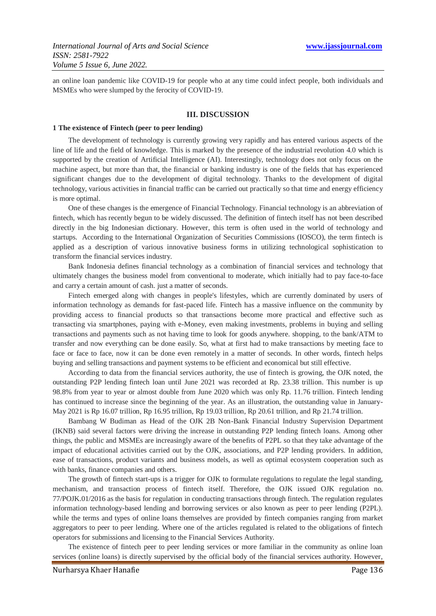an online loan pandemic like COVID-19 for people who at any time could infect people, both individuals and MSMEs who were slumped by the ferocity of COVID-19.

#### **III. DISCUSSION**

#### **1 The existence of Fintech (peer to peer lending)**

The development of technology is currently growing very rapidly and has entered various aspects of the line of life and the field of knowledge. This is marked by the presence of the industrial revolution 4.0 which is supported by the creation of Artificial Intelligence (AI). Interestingly, technology does not only focus on the machine aspect, but more than that, the financial or banking industry is one of the fields that has experienced significant changes due to the development of digital technology. Thanks to the development of digital technology, various activities in financial traffic can be carried out practically so that time and energy efficiency is more optimal.

One of these changes is the emergence of Financial Technology. Financial technology is an abbreviation of fintech, which has recently begun to be widely discussed. The definition of fintech itself has not been described directly in the big Indonesian dictionary. However, this term is often used in the world of technology and startups. According to the International Organization of Securities Commissions (IOSCO), the term fintech is applied as a description of various innovative business forms in utilizing technological sophistication to transform the financial services industry.

Bank Indonesia defines financial technology as a combination of financial services and technology that ultimately changes the business model from conventional to moderate, which initially had to pay face-to-face and carry a certain amount of cash. just a matter of seconds.

Fintech emerged along with changes in people's lifestyles, which are currently dominated by users of information technology as demands for fast-paced life. Fintech has a massive influence on the community by providing access to financial products so that transactions become more practical and effective such as transacting via smartphones, paying with e-Money, even making investments, problems in buying and selling transactions and payments such as not having time to look for goods anywhere. shopping, to the bank/ATM to transfer and now everything can be done easily. So, what at first had to make transactions by meeting face to face or face to face, now it can be done even remotely in a matter of seconds. In other words, fintech helps buying and selling transactions and payment systems to be efficient and economical but still effective.

According to data from the financial services authority, the use of fintech is growing, the OJK noted, the outstanding P2P lending fintech loan until June 2021 was recorded at Rp. 23.38 trillion. This number is up 98.8% from year to year or almost double from June 2020 which was only Rp. 11.76 trillion. Fintech lending has continued to increase since the beginning of the year. As an illustration, the outstanding value in January-May 2021 is Rp 16.07 trillion, Rp 16.95 trillion, Rp 19.03 trillion, Rp 20.61 trillion, and Rp 21.74 trillion.

Bambang W Budiman as Head of the OJK 2B Non-Bank Financial Industry Supervision Department (IKNB) said several factors were driving the increase in outstanding P2P lending fintech loans. Among other things, the public and MSMEs are increasingly aware of the benefits of P2PL so that they take advantage of the impact of educational activities carried out by the OJK, associations, and P2P lending providers. In addition, ease of transactions, product variants and business models, as well as optimal ecosystem cooperation such as with banks, finance companies and others.

The growth of fintech start-ups is a trigger for OJK to formulate regulations to regulate the legal standing, mechanism, and transaction process of fintech itself. Therefore, the OJK issued OJK regulation no. 77/POJK.01/2016 as the basis for regulation in conducting transactions through fintech. The regulation regulates information technology-based lending and borrowing services or also known as peer to peer lending (P2PL). while the terms and types of online loans themselves are provided by fintech companies ranging from market aggregators to peer to peer lending. Where one of the articles regulated is related to the obligations of fintech operators for submissions and licensing to the Financial Services Authority.

The existence of fintech peer to peer lending services or more familiar in the community as online loan services (online loans) is directly supervised by the official body of the financial services authority. However,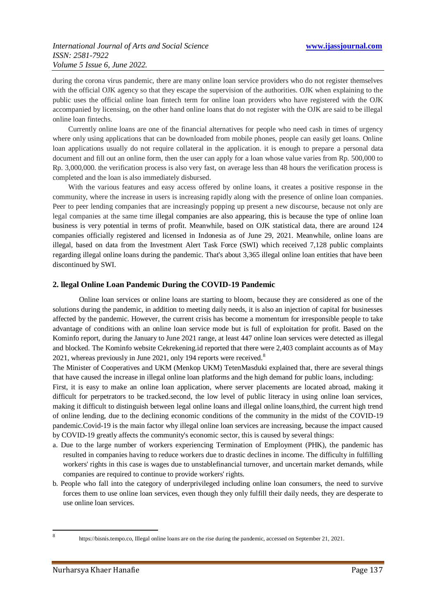during the corona virus pandemic, there are many online loan service providers who do not register themselves with the official OJK agency so that they escape the supervision of the authorities. OJK when explaining to the public uses the official online loan fintech term for online loan providers who have registered with the OJK accompanied by licensing, on the other hand online loans that do not register with the OJK are said to be illegal online loan fintechs.

Currently online loans are one of the financial alternatives for people who need cash in times of urgency where only using applications that can be downloaded from mobile phones, people can easily get loans. Online loan applications usually do not require collateral in the application. it is enough to prepare a personal data document and fill out an online form, then the user can apply for a loan whose value varies from Rp. 500,000 to Rp. 3,000,000. the verification process is also very fast, on average less than 48 hours the verification process is completed and the loan is also immediately disbursed.

With the various features and easy access offered by online loans, it creates a positive response in the community, where the increase in users is increasing rapidly along with the presence of online loan companies. Peer to peer lending companies that are increasingly popping up present a new discourse, because not only are legal companies at the same time illegal companies are also appearing, this is because the type of online loan business is very potential in terms of profit. Meanwhile, based on OJK statistical data, there are around 124 companies officially registered and licensed in Indonesia as of June 29, 2021. Meanwhile, online loans are illegal, based on data from the Investment Alert Task Force (SWI) which received 7,128 public complaints regarding illegal online loans during the pandemic. That's about 3,365 illegal online loan entities that have been discontinued by SWI.

## **2. llegal Online Loan Pandemic During the COVID-19 Pandemic**

Online loan services or online loans are starting to bloom, because they are considered as one of the solutions during the pandemic, in addition to meeting daily needs, it is also an injection of capital for businesses affected by the pandemic. However, the current crisis has become a momentum for irresponsible people to take advantage of conditions with an online loan service mode but is full of exploitation for profit. Based on the Kominfo report, during the January to June 2021 range, at least 447 online loan services were detected as illegal and blocked. The Kominfo website Cekrekening.id reported that there were 2,403 complaint accounts as of May 2021, whereas previously in June 2021, only 194 reports were received.<sup>8</sup>

The Minister of Cooperatives and UKM (Menkop UKM) TetenMasduki explained that, there are several things that have caused the increase in illegal online loan platforms and the high demand for public loans, including:

First, it is easy to make an online loan application, where server placements are located abroad, making it difficult for perpetrators to be tracked.second, the low level of public literacy in using online loan services, making it difficult to distinguish between legal online loans and illegal online loans,third, the current high trend of online lending, due to the declining economic conditions of the community in the midst of the COVID-19 pandemic.Covid-19 is the main factor why illegal online loan services are increasing, because the impact caused by COVID-19 greatly affects the community's economic sector, this is caused by several things:

- a. Due to the large number of workers experiencing Termination of Employment (PHK), the pandemic has resulted in companies having to reduce workers due to drastic declines in income. The difficulty in fulfilling workers' rights in this case is wages due to unstablefinancial turnover, and uncertain market demands, while companies are required to continue to provide workers' rights.
- b. People who fall into the category of underprivileged including online loan consumers, the need to survive forces them to use online loan services, even though they only fulfill their daily needs, they are desperate to use online loan services.

<sup>-&</sup>lt;br>8

https://bisnis.tempo.co, Illegal online loans are on the rise during the pandemic, accessed on September 21, 2021.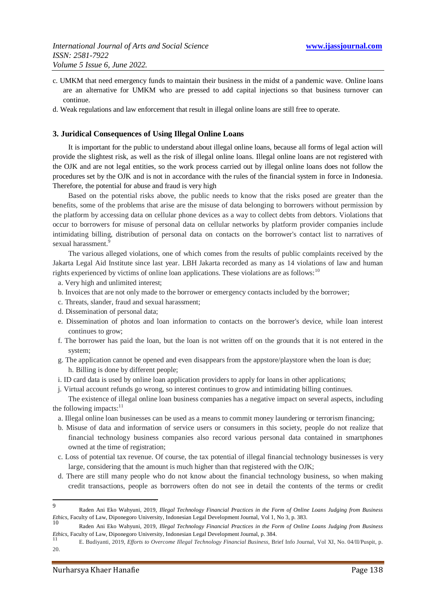- c. UMKM that need emergency funds to maintain their business in the midst of a pandemic wave. Online loans are an alternative for UMKM who are pressed to add capital injections so that business turnover can continue.
- d. Weak regulations and law enforcement that result in illegal online loans are still free to operate.

### **3. Juridical Consequences of Using Illegal Online Loans**

It is important for the public to understand about illegal online loans, because all forms of legal action will provide the slightest risk, as well as the risk of illegal online loans. Illegal online loans are not registered with the OJK and are not legal entities, so the work process carried out by illegal online loans does not follow the procedures set by the OJK and is not in accordance with the rules of the financial system in force in Indonesia. Therefore, the potential for abuse and fraud is very high

Based on the potential risks above, the public needs to know that the risks posed are greater than the benefits, some of the problems that arise are the misuse of data belonging to borrowers without permission by the platform by accessing data on cellular phone devices as a way to collect debts from debtors. Violations that occur to borrowers for misuse of personal data on cellular networks by platform provider companies include intimidating billing, distribution of personal data on contacts on the borrower's contact list to narratives of sexual harassment.<sup>9</sup>

The various alleged violations, one of which comes from the results of public complaints received by the Jakarta Legal Aid Institute since last year. LBH Jakarta recorded as many as 14 violations of law and human rights experienced by victims of online loan applications. These violations are as follows:<sup>10</sup>

- a. Very high and unlimited interest;
- b. Invoices that are not only made to the borrower or emergency contacts included by the borrower;
- c. Threats, slander, fraud and sexual harassment;
- d. Dissemination of personal data;
- e. Dissemination of photos and loan information to contacts on the borrower's device, while loan interest continues to grow;
- f. The borrower has paid the loan, but the loan is not written off on the grounds that it is not entered in the system;
- g. The application cannot be opened and even disappears from the appstore/playstore when the loan is due; h. Billing is done by different people;
- i. ID card data is used by online loan application providers to apply for loans in other applications;
- j. Virtual account refunds go wrong, so interest continues to grow and intimidating billing continues.

The existence of illegal online loan business companies has a negative impact on several aspects, including the following impacts: $11$ 

- a. Illegal online loan businesses can be used as a means to commit money laundering or terrorism financing;
- b. Misuse of data and information of service users or consumers in this society, people do not realize that financial technology business companies also record various personal data contained in smartphones owned at the time of registration;
- c. Loss of potential tax revenue. Of course, the tax potential of illegal financial technology businesses is very large, considering that the amount is much higher than that registered with the OJK;
- d. There are still many people who do not know about the financial technology business, so when making credit transactions, people as borrowers often do not see in detail the contents of the terms or credit

-

<sup>9</sup> Raden Ani Eko Wahyuni, 2019, *Illegal Technology Financial Practices in the Form of Online Loans Judging from Business Ethics*, Faculty of Law, Diponegoro University, Indonesian Legal Development Journal, Vol 1, No 3, p. 383. 10

Raden Ani Eko Wahyuni, 2019, *Illegal Technology Financial Practices in the Form of Online Loans Judging from Business Ethics*, Faculty of Law, Diponegoro University, Indonesian Legal Development Journal, p. 384.

<sup>11</sup> E. Budiyanti, 2019, *Efforts to Overcome Illegal Technology Financial Business,* Brief Info Journal, Vol XI, No. 04/II/Puspit, p. 20.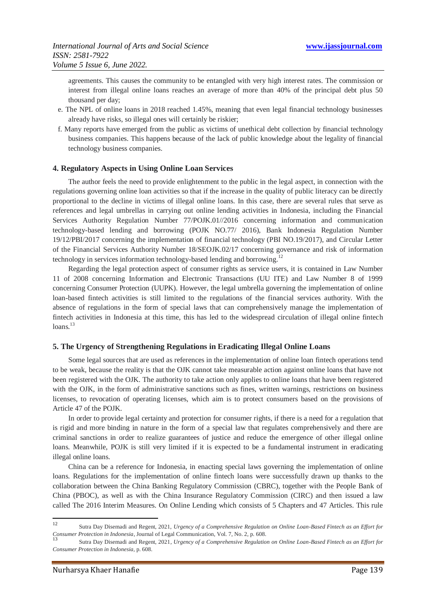agreements. This causes the community to be entangled with very high interest rates. The commission or interest from illegal online loans reaches an average of more than 40% of the principal debt plus 50 thousand per day;

- e. The NPL of online loans in 2018 reached 1.45%, meaning that even legal financial technology businesses already have risks, so illegal ones will certainly be riskier;
- f. Many reports have emerged from the public as victims of unethical debt collection by financial technology business companies. This happens because of the lack of public knowledge about the legality of financial technology business companies.

## **4. Regulatory Aspects in Using Online Loan Services**

The author feels the need to provide enlightenment to the public in the legal aspect, in connection with the regulations governing online loan activities so that if the increase in the quality of public literacy can be directly proportional to the decline in victims of illegal online loans. In this case, there are several rules that serve as references and legal umbrellas in carrying out online lending activities in Indonesia, including the Financial Services Authority Regulation Number 77/POJK.01//2016 concerning information and communication technology-based lending and borrowing (POJK NO.77/ 2016), Bank Indonesia Regulation Number 19/12/PBI/2017 concerning the implementation of financial technology (PBI NO.19/2017), and Circular Letter of the Financial Services Authority Number 18/SEOJK.02/17 concerning governance and risk of information technology in services information technology-based lending and borrowing.<sup>12</sup>

Regarding the legal protection aspect of consumer rights as service users, it is contained in Law Number 11 of 2008 concerning Information and Electronic Transactions (UU ITE) and Law Number 8 of 1999 concerning Consumer Protection (UUPK). However, the legal umbrella governing the implementation of online loan-based fintech activities is still limited to the regulations of the financial services authority. With the absence of regulations in the form of special laws that can comprehensively manage the implementation of fintech activities in Indonesia at this time, this has led to the widespread circulation of illegal online fintech  $loans.<sup>13</sup>$ 

#### **5. The Urgency of Strengthening Regulations in Eradicating Illegal Online Loans**

Some legal sources that are used as references in the implementation of online loan fintech operations tend to be weak, because the reality is that the OJK cannot take measurable action against online loans that have not been registered with the OJK. The authority to take action only applies to online loans that have been registered with the OJK, in the form of administrative sanctions such as fines, written warnings, restrictions on business licenses, to revocation of operating licenses, which aim is to protect consumers based on the provisions of Article 47 of the POJK.

In order to provide legal certainty and protection for consumer rights, if there is a need for a regulation that is rigid and more binding in nature in the form of a special law that regulates comprehensively and there are criminal sanctions in order to realize guarantees of justice and reduce the emergence of other illegal online loans. Meanwhile, POJK is still very limited if it is expected to be a fundamental instrument in eradicating illegal online loans.

China can be a reference for Indonesia, in enacting special laws governing the implementation of online loans. Regulations for the implementation of online fintech loans were successfully drawn up thanks to the collaboration between the China Banking Regulatory Commission (CBRC), together with the People Bank of China (PBOC), as well as with the China Insurance Regulatory Commission (CIRC) and then issued a law called The 2016 Interim Measures. On Online Lending which consists of 5 Chapters and 47 Articles. This rule

 $12$ <sup>12</sup> Sutra Day Disemadi and Regent, 2021, *Urgency of a Comprehensive Regulation on Online Loan-Based Fintech as an Effort for Consumer Protection in Indonesia*, Journal of Legal Communication, Vol. 7, No. 2, p. 608.

<sup>13</sup> Sutra Day Disemadi and Regent, 2021*, Urgency of a Comprehensive Regulation on Online Loan-Based Fintech as an Effort for Consumer Protection in Indonesia,* p. 608.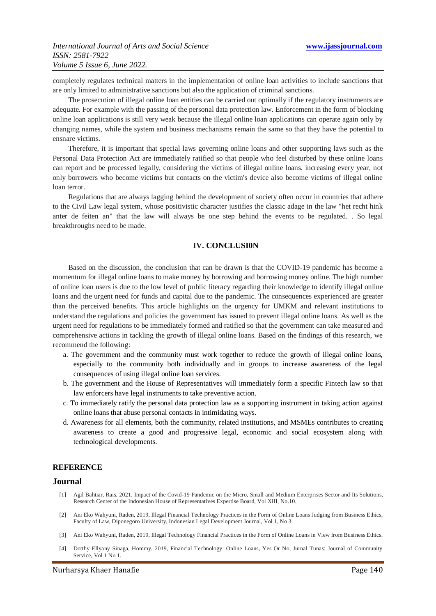completely regulates technical matters in the implementation of online loan activities to include sanctions that are only limited to administrative sanctions but also the application of criminal sanctions.

The prosecution of illegal online loan entities can be carried out optimally if the regulatory instruments are adequate. For example with the passing of the personal data protection law. Enforcement in the form of blocking online loan applications is still very weak because the illegal online loan applications can operate again only by changing names, while the system and business mechanisms remain the same so that they have the potential to ensnare victims.

Therefore, it is important that special laws governing online loans and other supporting laws such as the Personal Data Protection Act are immediately ratified so that people who feel disturbed by these online loans can report and be processed legally, considering the victims of illegal online loans. increasing every year, not only borrowers who become victims but contacts on the victim's device also become victims of illegal online loan terror.

Regulations that are always lagging behind the development of society often occur in countries that adhere to the Civil Law legal system, whose positivistic character justifies the classic adage in the law "het recht hink anter de feiten an" that the law will always be one step behind the events to be regulated. . So legal breakthroughs need to be made.

# **IV. CONCLUSI0N**

Based on the discussion, the conclusion that can be drawn is that the COVID-19 pandemic has become a momentum for illegal online loans to make money by borrowing and borrowing money online. The high number of online loan users is due to the low level of public literacy regarding their knowledge to identify illegal online loans and the urgent need for funds and capital due to the pandemic. The consequences experienced are greater than the perceived benefits. This article highlights on the urgency for UMKM and relevant institutions to understand the regulations and policies the government has issued to prevent illegal online loans. As well as the urgent need for regulations to be immediately formed and ratified so that the government can take measured and comprehensive actions in tackling the growth of illegal online loans. Based on the findings of this research, we recommend the following:

- a. The government and the community must work together to reduce the growth of illegal online loans, especially to the community both individually and in groups to increase awareness of the legal consequences of using illegal online loan services.
- b. The government and the House of Representatives will immediately form a specific Fintech law so that law enforcers have legal instruments to take preventive action.
- c. To immediately ratify the personal data protection law as a supporting instrument in taking action against online loans that abuse personal contacts in intimidating ways.
- d. Awareness for all elements, both the community, related institutions, and MSMEs contributes to creating awareness to create a good and progressive legal, economic and social ecosystem along with technological developments.

#### **REFERENCE**

## **Journal**

- [1] Agil Bahtiar, Rais, 2021, Impact of the Covid-19 Pandemic on the Micro, Small and Medium Enterprises Sector and Its Solutions, Research Center of the Indonesian House of Representatives Expertise Board, Vol XIII, No.10.
- [2] Ani Eko Wahyuni, Raden, 2019, Illegal Financial Technology Practices in the Form of Online Loans Judging from Business Ethics, Faculty of Law, Diponegoro University, Indonesian Legal Development Journal, Vol 1, No 3.
- [3] Ani Eko Wahyuni, Raden, 2019, Illegal Technology Financial Practices in the Form of Online Loans in View from Business Ethics.
- [4] Dotthy Ellyany Sinaga, Hommy, 2019, Financial Technology: Online Loans, Yes Or No, Jurnal Tunas: Journal of Community Service, Vol 1 No 1.